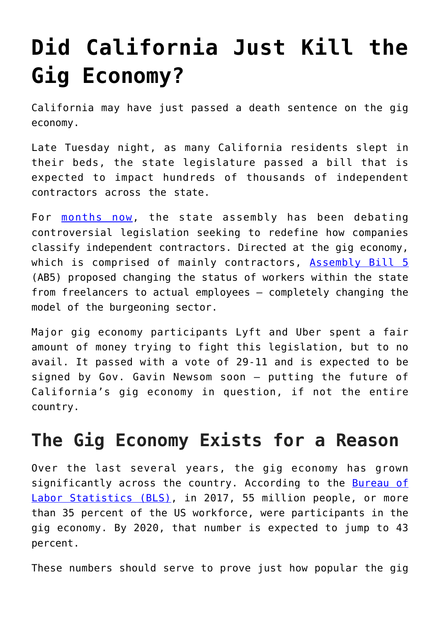# **[Did California Just Kill the](https://intellectualtakeout.org/2019/09/did-california-just-kill-the-gig-economy/) [Gig Economy?](https://intellectualtakeout.org/2019/09/did-california-just-kill-the-gig-economy/)**

California may have just passed a death sentence on the gig economy.

Late Tuesday night, as many California residents slept in their beds, the state legislature passed a bill that is expected to impact hundreds of thousands of independent contractors across the state.

For [months now,](https://fee.org/articles/how-the-gig-economy-can-save-a-generation-drowning-in-student-debt-if-we-let-it/) the state assembly has been debating controversial legislation seeking to redefine how companies classify independent contractors. Directed at the gig economy, which is comprised of mainly contractors, [Assembly Bill 5](https://leginfo.legislature.ca.gov/faces/billNavClient.xhtml?bill_id=201920200AB5) (AB5) proposed changing the status of workers within the state from freelancers to actual employees – completely changing the model of the burgeoning sector.

Major gig economy participants Lyft and Uber spent a fair amount of money trying to fight this legislation, but to no avail. It passed with a vote of 29-11 and is expected to be signed by Gov. Gavin Newsom soon – putting the future of California's gig economy in question, if not the entire country.

## **The Gig Economy Exists for a Reason**

Over the last several years, the gig economy has grown significantly across the country. According to the [Bureau of](https://www.bls.gov/news.release/pdf/conemp.pdf) [Labor Statistics \(BLS\),](https://www.bls.gov/news.release/pdf/conemp.pdf) in 2017, 55 million people, or more than 35 percent of the US workforce, were participants in the gig economy. By 2020, that number is expected to jump to 43 percent.

These numbers should serve to prove just how popular the gig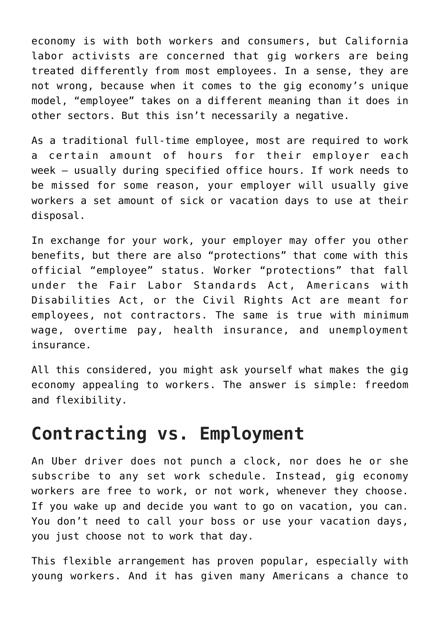economy is with both workers and consumers, but California labor activists are concerned that gig workers are being treated differently from most employees. In a sense, they are not wrong, because when it comes to the gig economy's unique model, "employee" takes on a different meaning than it does in other sectors. But this isn't necessarily a negative.

As a traditional full-time employee, most are required to work a certain amount of hours for their employer each week – usually during specified office hours. If work needs to be missed for some reason, your employer will usually give workers a set amount of sick or vacation days to use at their disposal.

In exchange for your work, your employer may offer you other benefits, but there are also "protections" that come with this official "employee" status. Worker "protections" that fall under the Fair Labor Standards Act, Americans with Disabilities Act, or the Civil Rights Act are meant for employees, not contractors. The same is true with minimum wage, overtime pay, health insurance, and unemployment insurance.

All this considered, you might ask yourself what makes the gig economy appealing to workers. The answer is simple: freedom and flexibility.

#### **Contracting vs. Employment**

An Uber driver does not punch a clock, nor does he or she subscribe to any set work schedule. Instead, gig economy workers are free to work, or not work, whenever they choose. If you wake up and decide you want to go on vacation, you can. You don't need to call your boss or use your vacation days, you just choose not to work that day.

This flexible arrangement has proven popular, especially with young workers. And it has given many Americans a chance to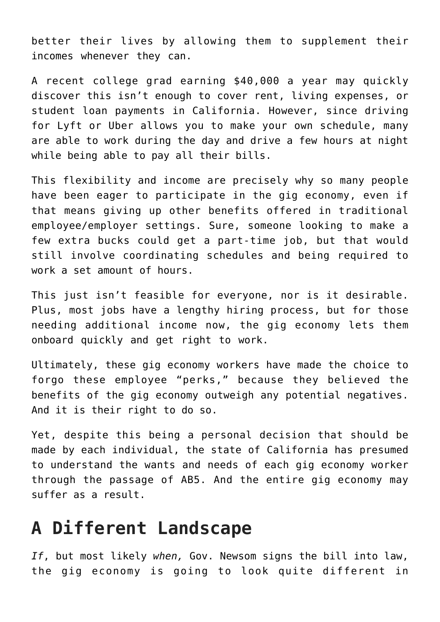better their lives by allowing them to supplement their incomes whenever they can.

A recent college grad earning \$40,000 a year may quickly discover this isn't enough to cover rent, living expenses, or student loan payments in California. However, since driving for Lyft or Uber allows you to make your own schedule, many are able to work during the day and drive a few hours at night while being able to pay all their bills.

This flexibility and income are precisely why so many people have been eager to participate in the gig economy, even if that means giving up other benefits offered in traditional employee/employer settings. Sure, someone looking to make a few extra bucks could get a part-time job, but that would still involve coordinating schedules and being required to work a set amount of hours.

This just isn't feasible for everyone, nor is it desirable. Plus, most jobs have a lengthy hiring process, but for those needing additional income now, the gig economy lets them onboard quickly and get right to work.

Ultimately, these gig economy workers have made the choice to forgo these employee "perks," because they believed the benefits of the gig economy outweigh any potential negatives. And it is their right to do so.

Yet, despite this being a personal decision that should be made by each individual, the state of California has presumed to understand the wants and needs of each gig economy worker through the passage of AB5. And the entire gig economy may suffer as a result.

#### **A Different Landscape**

*If*, but most likely *when,* Gov. Newsom signs the bill into law, the gig economy is going to look quite different in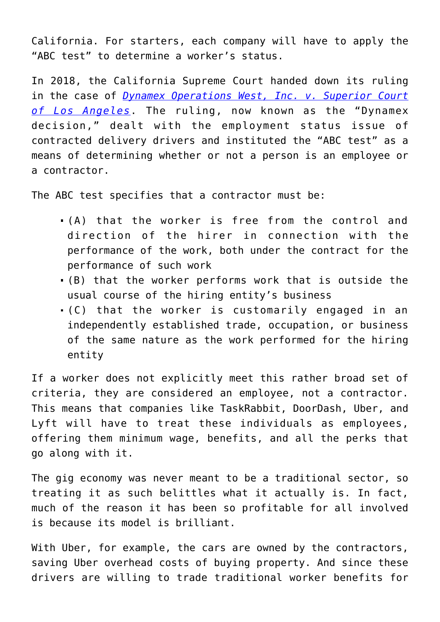California. For starters, each company will have to apply the "ABC test" to determine a worker's status.

In 2018, the California Supreme Court handed down its ruling in the case of *[Dynamex Operations West, Inc. v. Superior Court](https://scocal.stanford.edu/opinion/dynamex-operations-west-inc-v-superior-court-34584) [of Los Angeles](https://scocal.stanford.edu/opinion/dynamex-operations-west-inc-v-superior-court-34584)*. The ruling, now known as the "Dynamex decision," dealt with the employment status issue of contracted delivery drivers and instituted the "ABC test" as a means of determining whether or not a person is an employee or a contractor.

The ABC test specifies that a contractor must be:

- (A) that the worker is free from the control and direction of the hirer in connection with the performance of the work, both under the contract for the performance of such work
- (B) that the worker performs work that is outside the usual course of the hiring entity's business
- (C) that the worker is customarily engaged in an independently established trade, occupation, or business of the same nature as the work performed for the hiring entity

If a worker does not explicitly meet this rather broad set of criteria, they are considered an employee, not a contractor. This means that companies like TaskRabbit, DoorDash, Uber, and Lyft will have to treat these individuals as employees, offering them minimum wage, benefits, and all the perks that go along with it.

The gig economy was never meant to be a traditional sector, so treating it as such belittles what it actually is. In fact, much of the reason it has been so profitable for all involved is because its model is brilliant.

With Uber, for example, the cars are owned by the contractors, saving Uber overhead costs of buying property. And since these drivers are willing to trade traditional worker benefits for